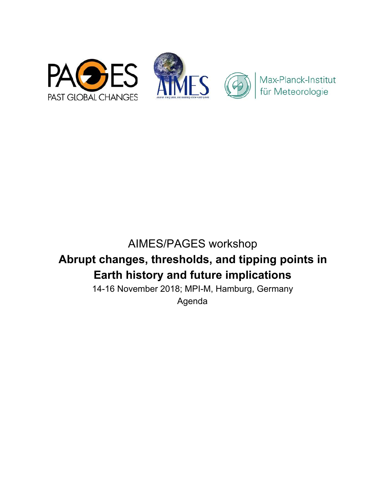

# AIMES/PAGES workshop **Abrupt changes, thresholds, and tipping points in Earth history and future implications**

14-16 November 2018; MPI-M, Hamburg, Germany Agenda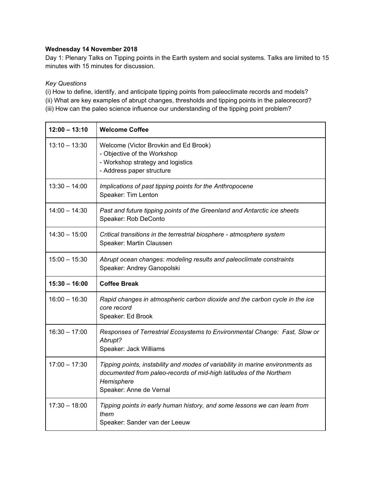#### **Wednesday 14 November 2018**

Day 1: Plenary Talks on Tipping points in the Earth system and social systems. Talks are limited to 15 minutes with 15 minutes for discussion.

#### *Key Questions*

(i) How to define, identify, and anticipate tipping points from paleoclimate records and models? (ii) What are key examples of abrupt changes, thresholds and tipping points in the paleorecord? (iii) How can the paleo science influence our understanding of the tipping point problem?

| $12:00 - 13:10$ | <b>Welcome Coffee</b>                                                                                                                                                                          |
|-----------------|------------------------------------------------------------------------------------------------------------------------------------------------------------------------------------------------|
| $13:10 - 13:30$ | Welcome (Victor Brovkin and Ed Brook)<br>- Objective of the Workshop<br>- Workshop strategy and logistics<br>- Address paper structure                                                         |
| $13:30 - 14:00$ | Implications of past tipping points for the Anthropocene<br>Speaker: Tim Lenton                                                                                                                |
| $14:00 - 14:30$ | Past and future tipping points of the Greenland and Antarctic ice sheets<br>Speaker: Rob DeConto                                                                                               |
| $14:30 - 15:00$ | Critical transitions in the terrestrial biosphere - atmosphere system<br>Speaker: Martin Claussen                                                                                              |
| $15:00 - 15:30$ | Abrupt ocean changes: modeling results and paleoclimate constraints<br>Speaker: Andrey Ganopolski                                                                                              |
|                 |                                                                                                                                                                                                |
| $15:30 - 16:00$ | <b>Coffee Break</b>                                                                                                                                                                            |
| $16:00 - 16:30$ | Rapid changes in atmospheric carbon dioxide and the carbon cycle in the ice<br>core record<br>Speaker: Ed Brook                                                                                |
| $16:30 - 17:00$ | Responses of Terrestrial Ecosystems to Environmental Change: Fast, Slow or<br>Abrupt?<br>Speaker: Jack Williams                                                                                |
| $17:00 - 17:30$ | Tipping points, instability and modes of variability in marine environments as<br>documented from paleo-records of mid-high latitudes of the Northern<br>Hemisphere<br>Speaker: Anne de Vernal |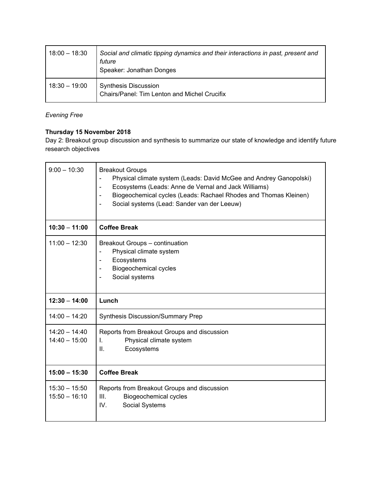| $18:00 - 18:30$ | Social and climatic tipping dynamics and their interactions in past, present and<br>future<br>Speaker: Jonathan Donges |
|-----------------|------------------------------------------------------------------------------------------------------------------------|
| $18:30 - 19:00$ | <b>Synthesis Discussion</b><br>Chairs/Panel: Tim Lenton and Michel Crucifix                                            |

# *Evening Free*

## **Thursday 15 November 2018**

Day 2: Breakout group discussion and synthesis to summarize our state of knowledge and identify future research objectives

| $9:00 - 10:30$                     | <b>Breakout Groups</b><br>Physical climate system (Leads: David McGee and Andrey Ganopolski)<br>$\overline{\phantom{0}}$<br>Ecosystems (Leads: Anne de Vernal and Jack Williams)<br>$\qquad \qquad \blacksquare$<br>Biogeochemical cycles (Leads: Rachael Rhodes and Thomas Kleinen)<br>$\blacksquare$<br>Social systems (Lead: Sander van der Leeuw)<br>$\blacksquare$ |
|------------------------------------|-------------------------------------------------------------------------------------------------------------------------------------------------------------------------------------------------------------------------------------------------------------------------------------------------------------------------------------------------------------------------|
| $10:30 - 11:00$                    | <b>Coffee Break</b>                                                                                                                                                                                                                                                                                                                                                     |
| $11:00 - 12:30$                    | Breakout Groups - continuation<br>Physical climate system<br>Ecosystems<br>$\blacksquare$<br><b>Biogeochemical cycles</b><br>$\blacksquare$<br>Social systems<br>$\qquad \qquad \blacksquare$                                                                                                                                                                           |
| $12:30 - 14:00$                    | Lunch                                                                                                                                                                                                                                                                                                                                                                   |
| $14:00 - 14:20$                    | <b>Synthesis Discussion/Summary Prep</b>                                                                                                                                                                                                                                                                                                                                |
| $14:20 - 14:40$<br>$14:40 - 15:00$ | Reports from Breakout Groups and discussion<br>Physical climate system<br>L.<br>Ш.<br>Ecosystems                                                                                                                                                                                                                                                                        |
| $15:00 - 15:30$                    |                                                                                                                                                                                                                                                                                                                                                                         |
|                                    | <b>Coffee Break</b>                                                                                                                                                                                                                                                                                                                                                     |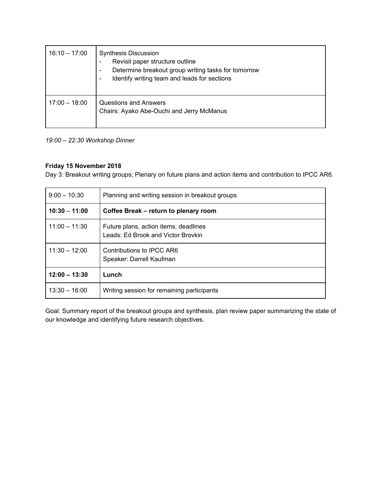| $16:10 - 17:00$ | <b>Synthesis Discussion</b><br>Revisit paper structure outline<br>Determine breakout group writing tasks for tomorrow<br>$\overline{\phantom{a}}$<br>Identify writing team and leads for sections |
|-----------------|---------------------------------------------------------------------------------------------------------------------------------------------------------------------------------------------------|
| $17:00 - 18:00$ | Questions and Answers<br>Chairs: Ayako Abe-Ouchi and Jerry McManus                                                                                                                                |

### *19:00 – 22:30 Workshop Dinner*

### **Friday 15 November 2018**

Day 3: Breakout writing groups; Plenary on future plans and action items and contribution to IPCC AR6.

| $9:00 - 10:30$  | Planning and writing session in breakout groups                             |
|-----------------|-----------------------------------------------------------------------------|
| $10:30 - 11:00$ | Coffee Break – return to plenary room                                       |
| $11:00 - 11:30$ | Future plans, action items, deadlines<br>Leads: Ed Brook and Victor Brovkin |
| $11:30 - 12:00$ | Contributions to IPCC AR6<br>Speaker: Darrell Kaufman                       |
| $12:00 - 13:30$ | Lunch                                                                       |
| $13:30 - 16:00$ | Writing session for remaining participants                                  |

Goal: Summary report of the breakout groups and synthesis, plan review paper summarizing the state of our knowledge and identifying future research objectives.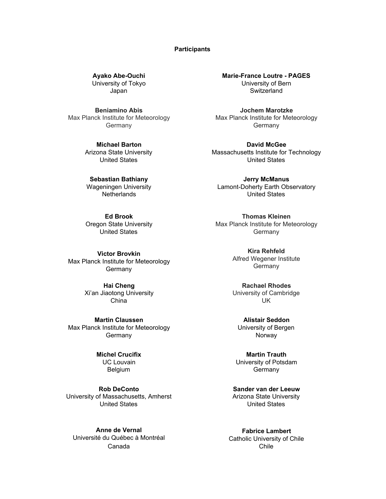#### **Participants**

**Ayako Abe-Ouchi**  University of Tokyo Japan

**Beniamino Abis**  Max Planck Institute for Meteorology **Germany** 

> **Michael Barton**  Arizona State University United States

**Sebastian Bathiany**  Wageningen University **Netherlands** 

**Ed Brook**  Oregon State University United States

**Victor Brovkin**  Max Planck Institute for Meteorology Germany

> **Hai Cheng**  Xi'an Jiaotong University China

**Martin Claussen**  Max Planck Institute for Meteorology **Germany** 

> **Michel Crucifix**  UC Louvain Belgium

**Rob DeConto**  University of Massachusetts, Amherst United States

**Anne de Vernal**  Université du Québec à Montréal Canada

**Marie-France Loutre - PAGES**  University of Bern **Switzerland** 

**Jochem Marotzke**  Max Planck Institute for Meteorology Germany

**David McGee**  Massachusetts Institute for Technology United States

**Jerry McManus**  Lamont-Doherty Earth Observatory United States

**Thomas Kleinen**  Max Planck Institute for Meteorology **Germany** 

> **Kira Rehfeld**  Alfred Wegener Institute **Germany**

**Rachael Rhodes**  University of Cambridge UK

**Alistair Seddon**  University of Bergen Norway

**Martin Trauth**  University of Potsdam **Germany** 

**Sander van der Leeuw**  Arizona State University United States

**Fabrice Lambert**  Catholic University of Chile Chile